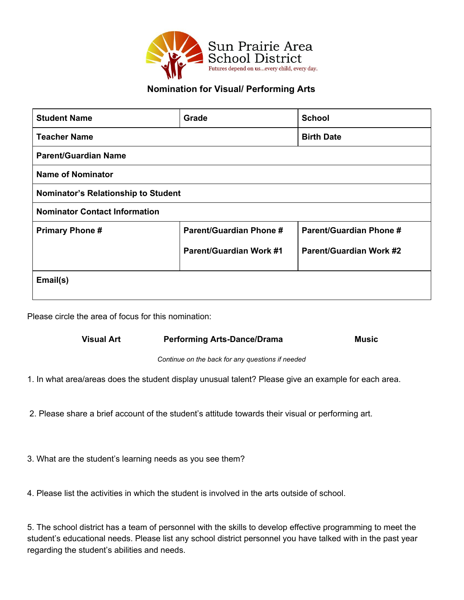

# **Nomination for Visual/ Performing Arts**

| <b>Student Name</b>                  | Grade                          | <b>School</b>                  |
|--------------------------------------|--------------------------------|--------------------------------|
| <b>Teacher Name</b>                  |                                | <b>Birth Date</b>              |
| <b>Parent/Guardian Name</b>          |                                |                                |
| <b>Name of Nominator</b>             |                                |                                |
| Nominator's Relationship to Student  |                                |                                |
| <b>Nominator Contact Information</b> |                                |                                |
| <b>Primary Phone#</b>                | <b>Parent/Guardian Phone #</b> | <b>Parent/Guardian Phone #</b> |
|                                      | <b>Parent/Guardian Work #1</b> | <b>Parent/Guardian Work #2</b> |
| Email(s)                             |                                |                                |

Please circle the area of focus for this nomination:

#### **Visual Art Performing Arts-Dance/Drama Music**

*Continue on the back for any questions if needed*

1. In what area/areas does the student display unusual talent? Please give an example for each area.

2. Please share a brief account of the student's attitude towards their visual or performing art.

3. What are the student's learning needs as you see them?

4. Please list the activities in which the student is involved in the arts outside of school.

5. The school district has a team of personnel with the skills to develop effective programming to meet the student's educational needs. Please list any school district personnel you have talked with in the past year regarding the student's abilities and needs.